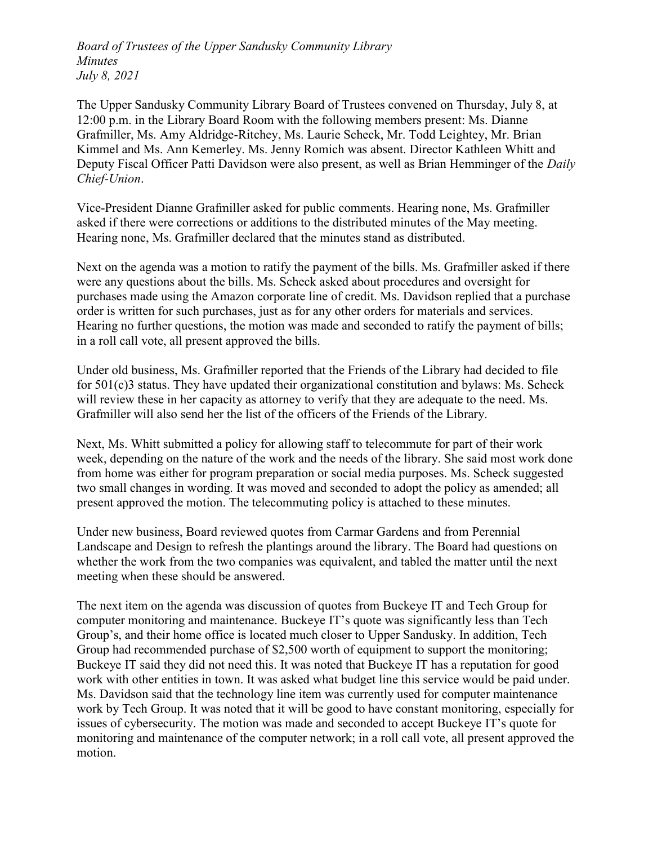The Upper Sandusky Community Library Board of Trustees convened on Thursday, July 8, at 12:00 p.m. in the Library Board Room with the following members present: Ms. Dianne Grafmiller, Ms. Amy Aldridge-Ritchey, Ms. Laurie Scheck, Mr. Todd Leightey, Mr. Brian Kimmel and Ms. Ann Kemerley. Ms. Jenny Romich was absent. Director Kathleen Whitt and Deputy Fiscal Officer Patti Davidson were also present, as well as Brian Hemminger of the *Daily* Chief-Union.

Vice-President Dianne Grafmiller asked for public comments. Hearing none, Ms. Grafmiller asked if there were corrections or additions to the distributed minutes of the May meeting. Hearing none, Ms. Grafmiller declared that the minutes stand as distributed.

Next on the agenda was a motion to ratify the payment of the bills. Ms. Grafmiller asked if there were any questions about the bills. Ms. Scheck asked about procedures and oversight for purchases made using the Amazon corporate line of credit. Ms. Davidson replied that a purchase order is written for such purchases, just as for any other orders for materials and services. Hearing no further questions, the motion was made and seconded to ratify the payment of bills; in a roll call vote, all present approved the bills.

Under old business, Ms. Grafmiller reported that the Friends of the Library had decided to file for 501(c)3 status. They have updated their organizational constitution and bylaws: Ms. Scheck will review these in her capacity as attorney to verify that they are adequate to the need. Ms. Grafmiller will also send her the list of the officers of the Friends of the Library.

Next, Ms. Whitt submitted a policy for allowing staff to telecommute for part of their work week, depending on the nature of the work and the needs of the library. She said most work done from home was either for program preparation or social media purposes. Ms. Scheck suggested two small changes in wording. It was moved and seconded to adopt the policy as amended; all present approved the motion. The telecommuting policy is attached to these minutes.

Under new business, Board reviewed quotes from Carmar Gardens and from Perennial Landscape and Design to refresh the plantings around the library. The Board had questions on whether the work from the two companies was equivalent, and tabled the matter until the next meeting when these should be answered.

The next item on the agenda was discussion of quotes from Buckeye IT and Tech Group for computer monitoring and maintenance. Buckeye IT's quote was significantly less than Tech Group's, and their home office is located much closer to Upper Sandusky. In addition, Tech Group had recommended purchase of \$2,500 worth of equipment to support the monitoring; Buckeye IT said they did not need this. It was noted that Buckeye IT has a reputation for good work with other entities in town. It was asked what budget line this service would be paid under. Ms. Davidson said that the technology line item was currently used for computer maintenance work by Tech Group. It was noted that it will be good to have constant monitoring, especially for issues of cybersecurity. The motion was made and seconded to accept Buckeye IT's quote for monitoring and maintenance of the computer network; in a roll call vote, all present approved the motion.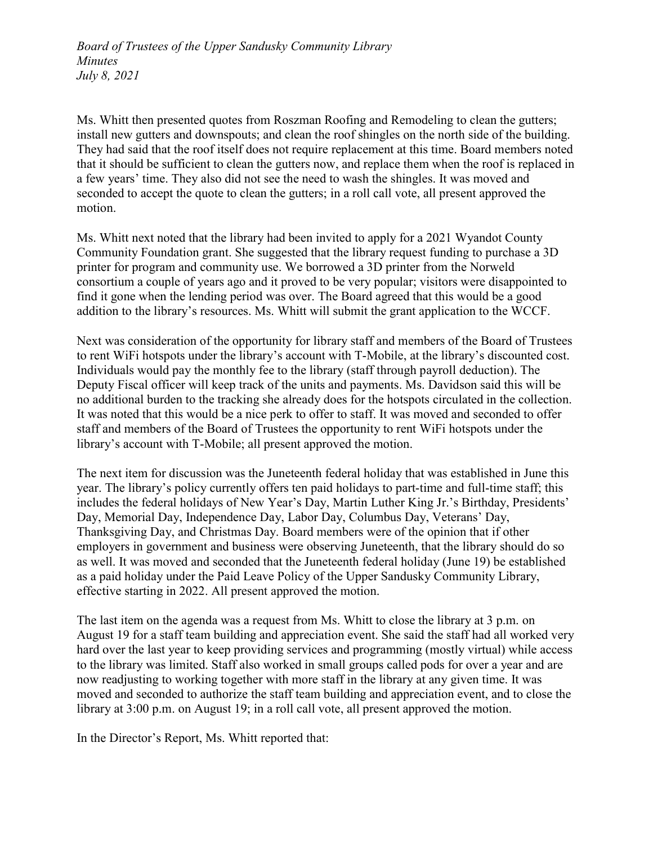Ms. Whitt then presented quotes from Roszman Roofing and Remodeling to clean the gutters; install new gutters and downspouts; and clean the roof shingles on the north side of the building. They had said that the roof itself does not require replacement at this time. Board members noted that it should be sufficient to clean the gutters now, and replace them when the roof is replaced in a few years' time. They also did not see the need to wash the shingles. It was moved and seconded to accept the quote to clean the gutters; in a roll call vote, all present approved the motion.

Ms. Whitt next noted that the library had been invited to apply for a 2021 Wyandot County Community Foundation grant. She suggested that the library request funding to purchase a 3D printer for program and community use. We borrowed a 3D printer from the Norweld consortium a couple of years ago and it proved to be very popular; visitors were disappointed to find it gone when the lending period was over. The Board agreed that this would be a good addition to the library's resources. Ms. Whitt will submit the grant application to the WCCF.

Next was consideration of the opportunity for library staff and members of the Board of Trustees to rent WiFi hotspots under the library's account with T-Mobile, at the library's discounted cost. Individuals would pay the monthly fee to the library (staff through payroll deduction). The Deputy Fiscal officer will keep track of the units and payments. Ms. Davidson said this will be no additional burden to the tracking she already does for the hotspots circulated in the collection. It was noted that this would be a nice perk to offer to staff. It was moved and seconded to offer staff and members of the Board of Trustees the opportunity to rent WiFi hotspots under the library's account with T-Mobile; all present approved the motion.

The next item for discussion was the Juneteenth federal holiday that was established in June this year. The library's policy currently offers ten paid holidays to part-time and full-time staff; this includes the federal holidays of New Year's Day, Martin Luther King Jr.'s Birthday, Presidents' Day, Memorial Day, Independence Day, Labor Day, Columbus Day, Veterans' Day, Thanksgiving Day, and Christmas Day. Board members were of the opinion that if other employers in government and business were observing Juneteenth, that the library should do so as well. It was moved and seconded that the Juneteenth federal holiday (June 19) be established as a paid holiday under the Paid Leave Policy of the Upper Sandusky Community Library, effective starting in 2022. All present approved the motion.

The last item on the agenda was a request from Ms. Whitt to close the library at 3 p.m. on August 19 for a staff team building and appreciation event. She said the staff had all worked very hard over the last year to keep providing services and programming (mostly virtual) while access to the library was limited. Staff also worked in small groups called pods for over a year and are now readjusting to working together with more staff in the library at any given time. It was moved and seconded to authorize the staff team building and appreciation event, and to close the library at 3:00 p.m. on August 19; in a roll call vote, all present approved the motion.

In the Director's Report, Ms. Whitt reported that: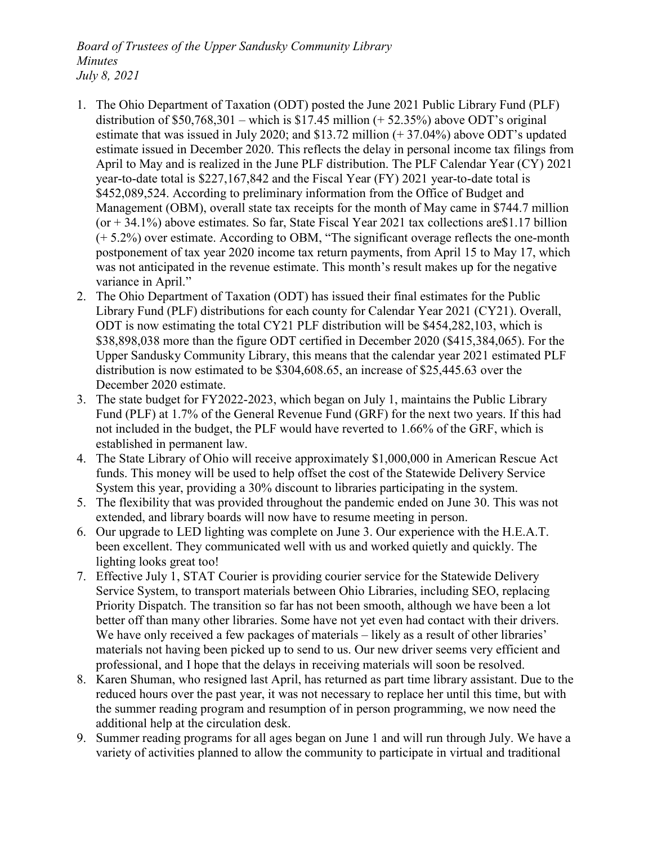- 1. The Ohio Department of Taxation (ODT) posted the June 2021 Public Library Fund (PLF) distribution of  $$50,768,301$  – which is  $$17.45$  million (+ 52.35%) above ODT's original estimate that was issued in July 2020; and \$13.72 million (+ 37.04%) above ODT's updated estimate issued in December 2020. This reflects the delay in personal income tax filings from April to May and is realized in the June PLF distribution. The PLF Calendar Year (CY) 2021 year-to-date total is \$227,167,842 and the Fiscal Year (FY) 2021 year-to-date total is \$452,089,524. According to preliminary information from the Office of Budget and Management (OBM), overall state tax receipts for the month of May came in \$744.7 million  $($ or + 34.1%) above estimates. So far, State Fiscal Year 2021 tax collections are \$1.17 billion (+ 5.2%) over estimate. According to OBM, "The significant overage reflects the one-month postponement of tax year 2020 income tax return payments, from April 15 to May 17, which was not anticipated in the revenue estimate. This month's result makes up for the negative variance in April."
- 2. The Ohio Department of Taxation (ODT) has issued their final estimates for the Public Library Fund (PLF) distributions for each county for Calendar Year 2021 (CY21). Overall, ODT is now estimating the total CY21 PLF distribution will be \$454,282,103, which is \$38,898,038 more than the figure ODT certified in December 2020 (\$415,384,065). For the Upper Sandusky Community Library, this means that the calendar year 2021 estimated PLF distribution is now estimated to be \$304,608.65, an increase of \$25,445.63 over the December 2020 estimate.
- 3. The state budget for FY2022-2023, which began on July 1, maintains the Public Library Fund (PLF) at 1.7% of the General Revenue Fund (GRF) for the next two years. If this had not included in the budget, the PLF would have reverted to 1.66% of the GRF, which is established in permanent law.
- 4. The State Library of Ohio will receive approximately \$1,000,000 in American Rescue Act funds. This money will be used to help offset the cost of the Statewide Delivery Service System this year, providing a 30% discount to libraries participating in the system.
- 5. The flexibility that was provided throughout the pandemic ended on June 30. This was not extended, and library boards will now have to resume meeting in person.
- 6. Our upgrade to LED lighting was complete on June 3. Our experience with the H.E.A.T. been excellent. They communicated well with us and worked quietly and quickly. The lighting looks great too!
- 7. Effective July 1, STAT Courier is providing courier service for the Statewide Delivery Service System, to transport materials between Ohio Libraries, including SEO, replacing Priority Dispatch. The transition so far has not been smooth, although we have been a lot better off than many other libraries. Some have not yet even had contact with their drivers. We have only received a few packages of materials – likely as a result of other libraries' materials not having been picked up to send to us. Our new driver seems very efficient and professional, and I hope that the delays in receiving materials will soon be resolved.
- 8. Karen Shuman, who resigned last April, has returned as part time library assistant. Due to the reduced hours over the past year, it was not necessary to replace her until this time, but with the summer reading program and resumption of in person programming, we now need the additional help at the circulation desk.
- 9. Summer reading programs for all ages began on June 1 and will run through July. We have a variety of activities planned to allow the community to participate in virtual and traditional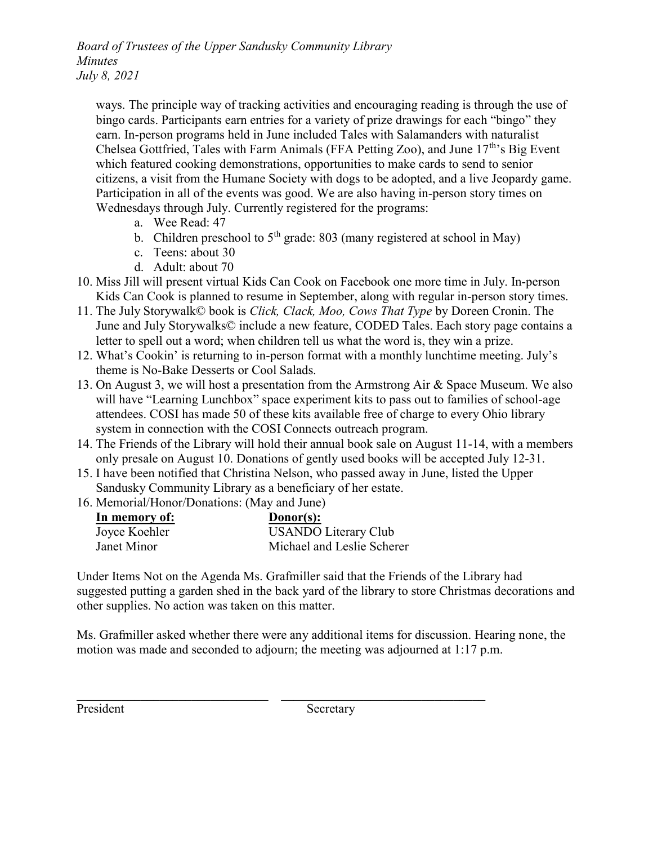ways. The principle way of tracking activities and encouraging reading is through the use of bingo cards. Participants earn entries for a variety of prize drawings for each "bingo" they earn. In-person programs held in June included Tales with Salamanders with naturalist Chelsea Gottfried, Tales with Farm Animals (FFA Petting Zoo), and June  $17<sup>th</sup>$ 's Big Event which featured cooking demonstrations, opportunities to make cards to send to senior citizens, a visit from the Humane Society with dogs to be adopted, and a live Jeopardy game. Participation in all of the events was good. We are also having in-person story times on Wednesdays through July. Currently registered for the programs:

- a. Wee Read: 47
- b. Children preschool to  $5<sup>th</sup>$  grade: 803 (many registered at school in May)
- c. Teens: about 30
- d. Adult: about 70
- 10. Miss Jill will present virtual Kids Can Cook on Facebook one more time in July. In-person Kids Can Cook is planned to resume in September, along with regular in-person story times.
- 11. The July Storywalk© book is Click, Clack, Moo, Cows That Type by Doreen Cronin. The June and July Storywalks© include a new feature, CODED Tales. Each story page contains a letter to spell out a word; when children tell us what the word is, they win a prize.
- 12. What's Cookin' is returning to in-person format with a monthly lunchtime meeting. July's theme is No-Bake Desserts or Cool Salads.
- 13. On August 3, we will host a presentation from the Armstrong Air & Space Museum. We also will have "Learning Lunchbox" space experiment kits to pass out to families of school-age attendees. COSI has made 50 of these kits available free of charge to every Ohio library system in connection with the COSI Connects outreach program.
- 14. The Friends of the Library will hold their annual book sale on August 11-14, with a members only presale on August 10. Donations of gently used books will be accepted July 12-31.
- 15. I have been notified that Christina Nelson, who passed away in June, listed the Upper Sandusky Community Library as a beneficiary of her estate.
- 16. Memorial/Honor/Donations: (May and June)

| In memory of: | $Donor(s)$ :                |
|---------------|-----------------------------|
| Joyce Koehler | <b>USANDO Literary Club</b> |
| Janet Minor   | Michael and Leslie Scherer  |

Under Items Not on the Agenda Ms. Grafmiller said that the Friends of the Library had suggested putting a garden shed in the back yard of the library to store Christmas decorations and other supplies. No action was taken on this matter.

Ms. Grafmiller asked whether there were any additional items for discussion. Hearing none, the motion was made and seconded to adjourn; the meeting was adjourned at 1:17 p.m.

 $\_$  , and the contribution of the contribution of  $\mathcal{L}_\mathcal{L}$  , and the contribution of  $\mathcal{L}_\mathcal{L}$ 

President Secretary